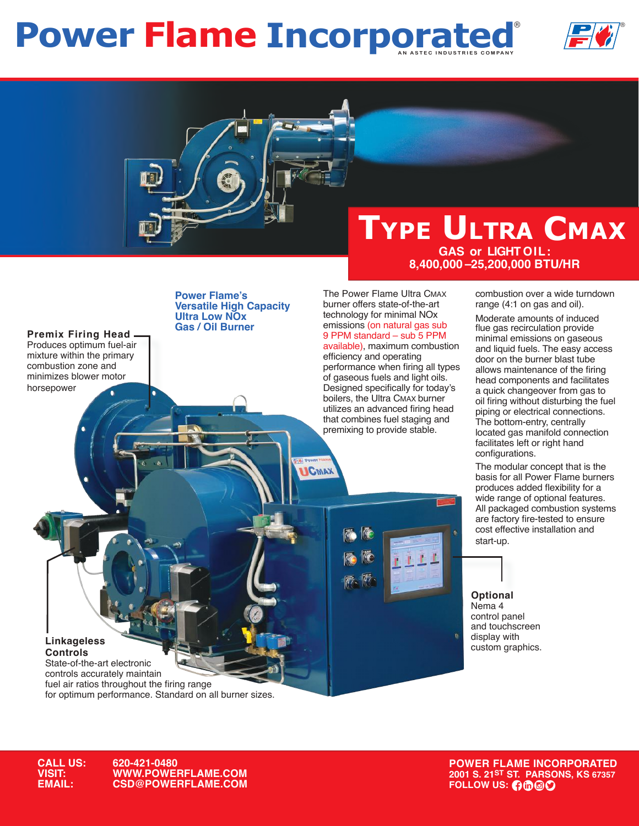# **Power Flame Incorporated**





**Premix Firing Head** Produces optimum fuel-air mixture within the primary combustion zone and minimizes blower motor horsepower

**Power Flame's Versatile High Capacity Ultra Low NOx Gas / Oil Burner**

The Power Flame Ultra CMAX burner offers state-of-the-art technology for minimal NOx emissions (on natural gas sub 9 PPM standard – sub 5 PPM available), maximum combustion efficiency and operating performance when firing all types of gaseous fuels and light oils. Designed specifically for today's boilers, the Ultra CMAX burner

utilizes an advanced firing head that combines fuel staging and premixing to provide stable.

**CMAX** 

combustion over a wide turndown range (4:1 on gas and oil).

Moderate amounts of induced flue gas recirculation provide minimal emissions on gaseous and liquid fuels. The easy access door on the burner blast tube allows maintenance of the firing head components and facilitates a quick changeover from gas to oil firing without disturbing the fuel piping or electrical connections. The bottom-entry, centrally located gas manifold connection facilitates left or right hand configurations.

The modular concept that is the basis for all Power Flame burners produces added flexibility for a wide range of optional features. All packaged combustion systems are factory fire-tested to ensure cost effective installation and start-up.

**Optional** Nema 4 control panel and touchscreen display with custom graphics.

**Linkageless Controls** State-of-the-art electronic controls accurately maintain fuel air ratios throughout the firing range for optimum performance. Standard on all burner sizes.

**CALL US: 620-421-0480 VISIT: WWW.POWERFLAME.COM EXPOWERFLAME.COM EXPLOMENT IN EXPLOM TO LEADER TO LEADER TO LEADER TO LEADER TO LEADER TO LEADER TO LEADER TO LEADER TO LEADER TO LEADER TO LEADER TO LEADER TO LEADER TO LEADER TO LEADER TO LEADER TO LEADER TO LEADER T** 

**POWER FLAME INCORPORATED 2001 S. 21ST ST. PARSONS, KS 67357**